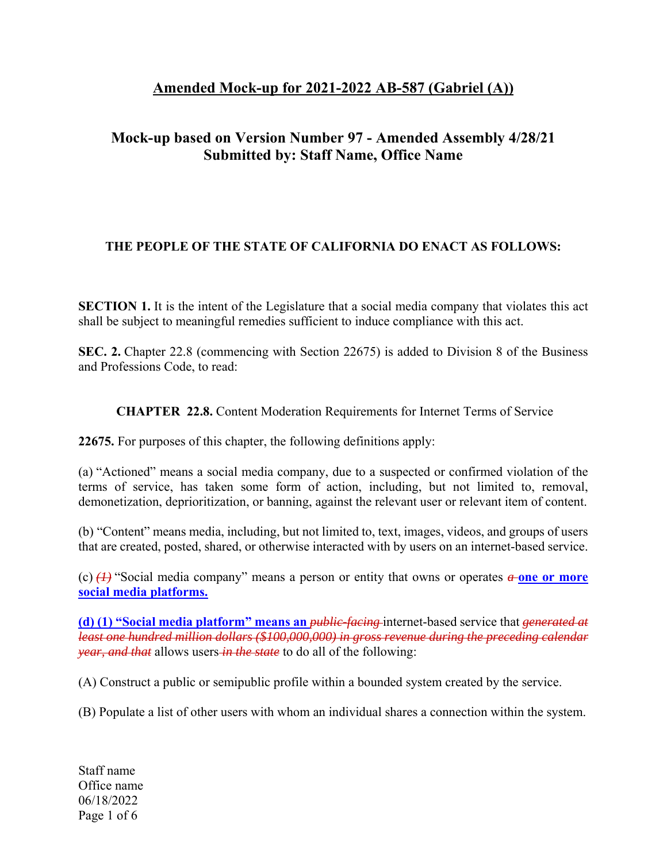## **Amended Mock-up for 2021-2022 AB-587 (Gabriel (A))**

## **Mock-up based on Version Number 97 - Amended Assembly 4/28/21 Submitted by: Staff Name, Office Name**

## **THE PEOPLE OF THE STATE OF CALIFORNIA DO ENACT AS FOLLOWS:**

**SECTION 1.** It is the intent of the Legislature that a social media company that violates this act shall be subject to meaningful remedies sufficient to induce compliance with this act.

**SEC. 2.** Chapter 22.8 (commencing with Section 22675) is added to Division 8 of the Business and Professions Code, to read:

 **CHAPTER 22.8.** Content Moderation Requirements for Internet Terms of Service

**22675.** For purposes of this chapter, the following definitions apply:

(a) "Actioned" means a social media company, due to a suspected or confirmed violation of the terms of service, has taken some form of action, including, but not limited to, removal, demonetization, deprioritization, or banning, against the relevant user or relevant item of content.

(b) "Content" means media, including, but not limited to, text, images, videos, and groups of users that are created, posted, shared, or otherwise interacted with by users on an internet-based service.

(c)  $\left(\frac{1}{2}\right)$  "Social media company" means a person or entity that owns or operates  $\alpha$ -one or more **social media platforms.**

**(d) (1) "Social media platform" means an** *public-facing* internet-based service that *generated at least one hundred million dollars (\$100,000,000) in gross revenue during the preceding calendar year, and that* allows users *in the state* to do all of the following:

(A) Construct a public or semipublic profile within a bounded system created by the service.

(B) Populate a list of other users with whom an individual shares a connection within the system.

Staff name Office name 06/18/2022 Page 1 of 6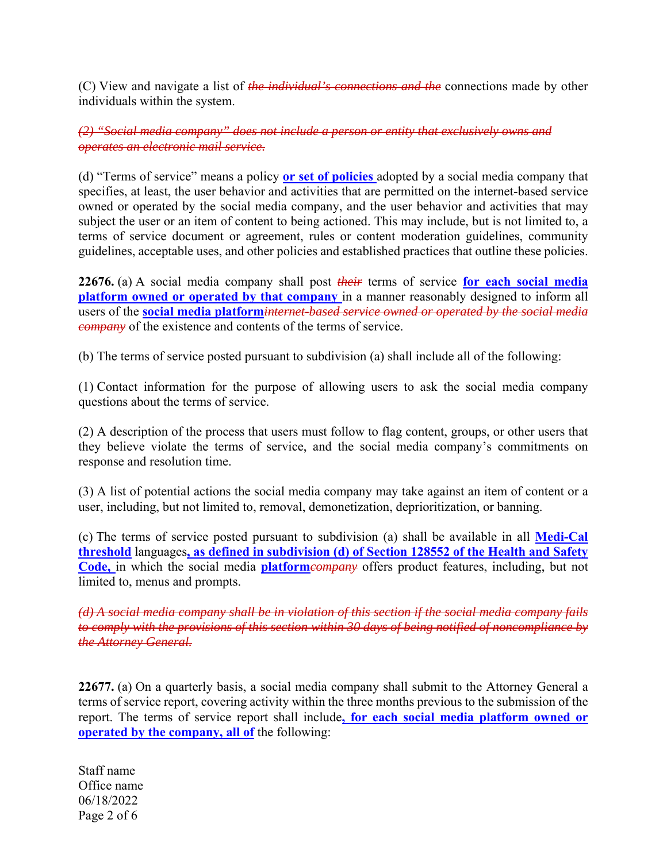(C) View and navigate a list of *the individual's connections and the* connections made by other individuals within the system.

*(2) "Social media company" does not include a person or entity that exclusively owns and operates an electronic mail service.* 

(d) "Terms of service" means a policy **or set of policies** adopted by a social media company that specifies, at least, the user behavior and activities that are permitted on the internet-based service owned or operated by the social media company, and the user behavior and activities that may subject the user or an item of content to being actioned. This may include, but is not limited to, a terms of service document or agreement, rules or content moderation guidelines, community guidelines, acceptable uses, and other policies and established practices that outline these policies.

**22676.** (a) A social media company shall post *their* terms of service **for each social media platform owned or operated by that company** in a manner reasonably designed to inform all users of the **social media platform***internet-based service owned or operated by the social media company* of the existence and contents of the terms of service.

(b) The terms of service posted pursuant to subdivision (a) shall include all of the following:

(1) Contact information for the purpose of allowing users to ask the social media company questions about the terms of service.

(2) A description of the process that users must follow to flag content, groups, or other users that they believe violate the terms of service, and the social media company's commitments on response and resolution time.

(3) A list of potential actions the social media company may take against an item of content or a user, including, but not limited to, removal, demonetization, deprioritization, or banning.

(c) The terms of service posted pursuant to subdivision (a) shall be available in all **Medi-Cal threshold** languages**, as defined in subdivision (d) of Section 128552 of the Health and Safety Code,** in which the social media **platform***company* offers product features, including, but not limited to, menus and prompts.

*(d) A social media company shall be in violation of this section if the social media company fails to comply with the provisions of this section within 30 days of being notified of noncompliance by the Attorney General.* 

**22677.** (a) On a quarterly basis, a social media company shall submit to the Attorney General a terms of service report, covering activity within the three months previous to the submission of the report. The terms of service report shall include**, for each social media platform owned or operated by the company, all of** the following:

Staff name Office name 06/18/2022 Page 2 of 6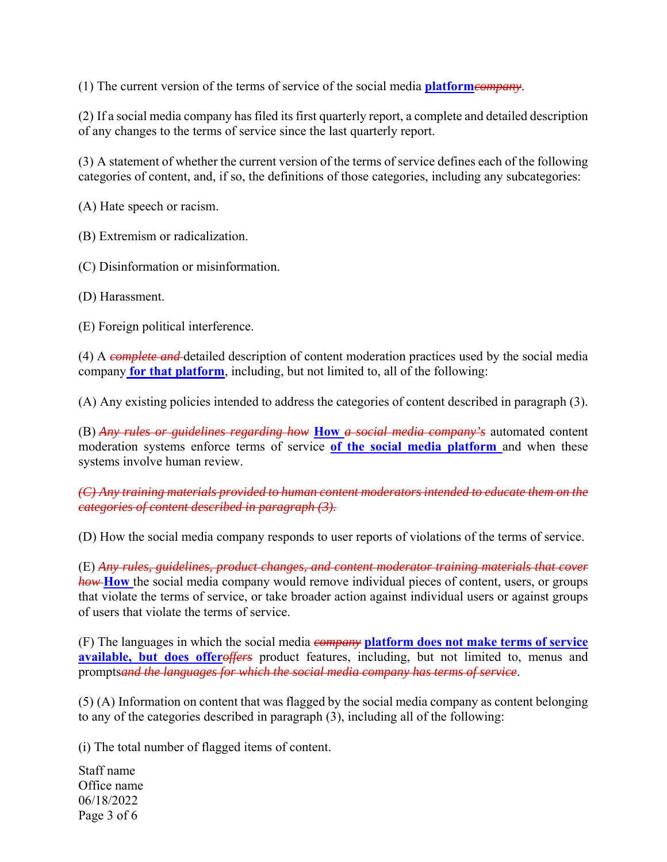(1) The current version of the terms of service of the social media **platform***company*.

(2) If a social media company has filed its first quarterly report, a complete and detailed description of any changes to the terms of service since the last quarterly report.

(3) A statement of whether the current version of the terms of service defines each of the following categories of content, and, if so, the definitions of those categories, including any subcategories:

(A) Hate speech or racism.

(B) Extremism or radicalization.

(C) Disinformation or misinformation.

(D) Harassment.

(E) Foreign political interference.

(4) A *complete and* detailed description of content moderation practices used by the social media company **for that platform**, including, but not limited to, all of the following:

(A) Any existing policies intended to address the categories of content described in paragraph (3).

(B) *Any rules or guidelines regarding how* **How** *a social media company's* automated content moderation systems enforce terms of service **of the social media platform** and when these systems involve human review.

## *(C) Any training materials provided to human content moderators intended to educate them on the categories of content described in paragraph (3).*

(D) How the social media company responds to user reports of violations of the terms of service.

(E) *Any rules, guidelines, product changes, and content moderator training materials that cover how* **How** the social media company would remove individual pieces of content, users, or groups that violate the terms of service, or take broader action against individual users or against groups of users that violate the terms of service.

(F) The languages in which the social media *company* **platform does not make terms of service**  available, but does offeroffers product features, including, but not limited to, menus and prompts*and the languages for which the social media company has terms of service*.

(5) (A) Information on content that was flagged by the social media company as content belonging to any of the categories described in paragraph (3), including all of the following:

(i) The total number of flagged items of content.

Staff name Office name 06/18/2022 Page 3 of 6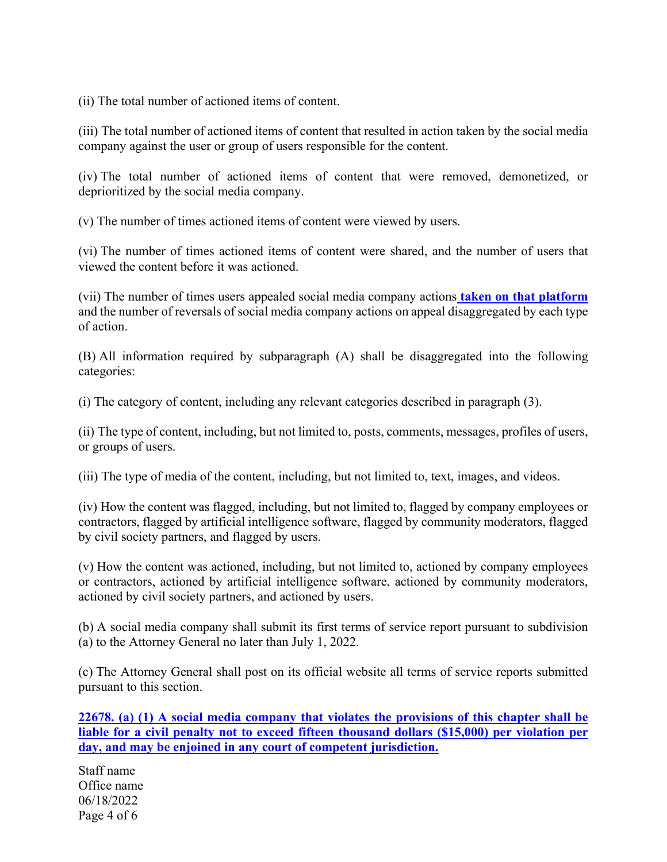(ii) The total number of actioned items of content.

(iii) The total number of actioned items of content that resulted in action taken by the social media company against the user or group of users responsible for the content.

(iv) The total number of actioned items of content that were removed, demonetized, or deprioritized by the social media company.

(v) The number of times actioned items of content were viewed by users.

(vi) The number of times actioned items of content were shared, and the number of users that viewed the content before it was actioned.

(vii) The number of times users appealed social media company actions **taken on that platform** and the number of reversals of social media company actions on appeal disaggregated by each type of action.

(B) All information required by subparagraph (A) shall be disaggregated into the following categories:

(i) The category of content, including any relevant categories described in paragraph (3).

(ii) The type of content, including, but not limited to, posts, comments, messages, profiles of users, or groups of users.

(iii) The type of media of the content, including, but not limited to, text, images, and videos.

(iv) How the content was flagged, including, but not limited to, flagged by company employees or contractors, flagged by artificial intelligence software, flagged by community moderators, flagged by civil society partners, and flagged by users.

(v) How the content was actioned, including, but not limited to, actioned by company employees or contractors, actioned by artificial intelligence software, actioned by community moderators, actioned by civil society partners, and actioned by users.

(b) A social media company shall submit its first terms of service report pursuant to subdivision (a) to the Attorney General no later than July 1, 2022.

(c) The Attorney General shall post on its official website all terms of service reports submitted pursuant to this section.

**22678. (a) (1) A social media company that violates the provisions of this chapter shall be liable for a civil penalty not to exceed fifteen thousand dollars (\$15,000) per violation per day, and may be enjoined in any court of competent jurisdiction.** 

Staff name Office name 06/18/2022 Page 4 of 6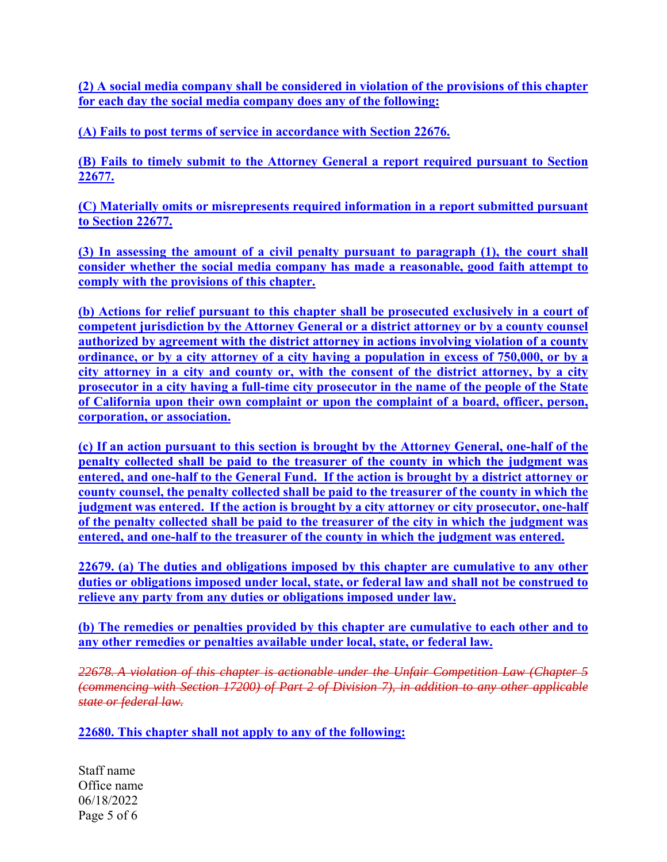**(2) A social media company shall be considered in violation of the provisions of this chapter for each day the social media company does any of the following:** 

**(A) Fails to post terms of service in accordance with Section 22676.** 

**(B) Fails to timely submit to the Attorney General a report required pursuant to Section 22677.** 

**(C) Materially omits or misrepresents required information in a report submitted pursuant to Section 22677.** 

**(3) In assessing the amount of a civil penalty pursuant to paragraph (1), the court shall consider whether the social media company has made a reasonable, good faith attempt to comply with the provisions of this chapter.** 

**(b) Actions for relief pursuant to this chapter shall be prosecuted exclusively in a court of competent jurisdiction by the Attorney General or a district attorney or by a county counsel authorized by agreement with the district attorney in actions involving violation of a county ordinance, or by a city attorney of a city having a population in excess of 750,000, or by a city attorney in a city and county or, with the consent of the district attorney, by a city prosecutor in a city having a full-time city prosecutor in the name of the people of the State of California upon their own complaint or upon the complaint of a board, officer, person, corporation, or association.** 

**(c) If an action pursuant to this section is brought by the Attorney General, one-half of the penalty collected shall be paid to the treasurer of the county in which the judgment was entered, and one-half to the General Fund. If the action is brought by a district attorney or county counsel, the penalty collected shall be paid to the treasurer of the county in which the judgment was entered. If the action is brought by a city attorney or city prosecutor, one-half of the penalty collected shall be paid to the treasurer of the city in which the judgment was entered, and one-half to the treasurer of the county in which the judgment was entered.** 

**22679. (a) The duties and obligations imposed by this chapter are cumulative to any other duties or obligations imposed under local, state, or federal law and shall not be construed to relieve any party from any duties or obligations imposed under law.** 

**(b) The remedies or penalties provided by this chapter are cumulative to each other and to any other remedies or penalties available under local, state, or federal law.** 

*22678. A violation of this chapter is actionable under the Unfair Competition Law (Chapter 5 (commencing with Section 17200) of Part 2 of Division 7), in addition to any other applicable state or federal law.* 

**22680. This chapter shall not apply to any of the following:** 

Staff name Office name 06/18/2022 Page 5 of 6